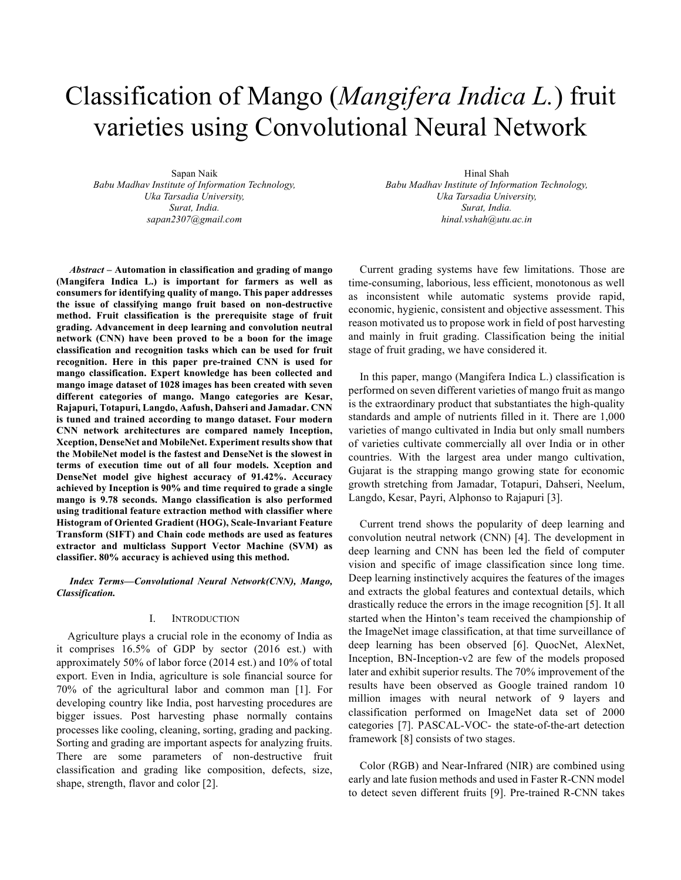# Classification of Mango (*Mangifera Indica L.*) fruit varieties using Convolutional Neural Network

Sapan Naik *Babu Madhav Institute of Information Technology, Uka Tarsadia University, Surat, India. sapan2307@gmail.com*

*Abstract* **– Automation in classification and grading of mango (Mangifera Indica L.) is important for farmers as well as consumers for identifying quality of mango. This paper addresses the issue of classifying mango fruit based on non-destructive method. Fruit classification is the prerequisite stage of fruit grading. Advancement in deep learning and convolution neutral network (CNN) have been proved to be a boon for the image classification and recognition tasks which can be used for fruit recognition. Here in this paper pre-trained CNN is used for mango classification. Expert knowledge has been collected and mango image dataset of 1028 images has been created with seven different categories of mango. Mango categories are Kesar, Rajapuri, Totapuri, Langdo, Aafush, Dahseri and Jamadar. CNN is tuned and trained according to mango dataset. Four modern CNN network architectures are compared namely Inception, Xception, DenseNet and MobileNet. Experiment results show that the MobileNet model is the fastest and DenseNet is the slowest in terms of execution time out of all four models. Xception and DenseNet model give highest accuracy of 91.42%. Accuracy achieved by Inception is 90% and time required to grade a single mango is 9.78 seconds. Mango classification is also performed using traditional feature extraction method with classifier where Histogram of Oriented Gradient (HOG), Scale-Invariant Feature Transform (SIFT) and Chain code methods are used as features extractor and multiclass Support Vector Machine (SVM) as classifier. 80% accuracy is achieved using this method.**

*Index Terms***—***Convolutional Neural Network(CNN), Mango, Classification.*

### I. INTRODUCTION

Agriculture plays a crucial role in the economy of India as it comprises 16.5% of GDP by sector (2016 est.) with approximately 50% of labor force (2014 est.) and 10% of total export. Even in India, agriculture is sole financial source for 70% of the agricultural labor and common man [1]. For developing country like India, post harvesting procedures are bigger issues. Post harvesting phase normally contains processes like cooling, cleaning, sorting, grading and packing. Sorting and grading are important aspects for analyzing fruits. There are some parameters of non-destructive fruit classification and grading like composition, defects, size, shape, strength, flavor and color [2].

Hinal Shah *Babu Madhav Institute of Information Technology, Uka Tarsadia University, Surat, India. hinal.vshah@utu.ac.in*

Current grading systems have few limitations. Those are time-consuming, laborious, less efficient, monotonous as well as inconsistent while automatic systems provide rapid, economic, hygienic, consistent and objective assessment. This reason motivated us to propose work in field of post harvesting and mainly in fruit grading. Classification being the initial stage of fruit grading, we have considered it.

In this paper, mango (Mangifera Indica L.) classification is performed on seven different varieties of mango fruit as mango is the extraordinary product that substantiates the high-quality standards and ample of nutrients filled in it. There are 1,000 varieties of mango cultivated in India but only small numbers of varieties cultivate commercially all over India or in other countries. With the largest area under mango cultivation, Gujarat is the strapping mango growing state for economic growth stretching from Jamadar, Totapuri, Dahseri, Neelum, Langdo, Kesar, Payri, Alphonso to Rajapuri [3].

Current trend shows the popularity of deep learning and convolution neutral network (CNN) [4]. The development in deep learning and CNN has been led the field of computer vision and specific of image classification since long time. Deep learning instinctively acquires the features of the images and extracts the global features and contextual details, which drastically reduce the errors in the image recognition [5]. It all started when the Hinton's team received the championship of the ImageNet image classification, at that time surveillance of deep learning has been observed [6]. QuocNet, AlexNet, Inception, BN-Inception-v2 are few of the models proposed later and exhibit superior results. The 70% improvement of the results have been observed as Google trained random 10 million images with neural network of 9 layers and classification performed on ImageNet data set of 2000 categories [7]. PASCAL-VOC- the state-of-the-art detection framework [8] consists of two stages.

Color (RGB) and Near-Infrared (NIR) are combined using early and late fusion methods and used in Faster R-CNN model to detect seven different fruits [9]. Pre-trained R-CNN takes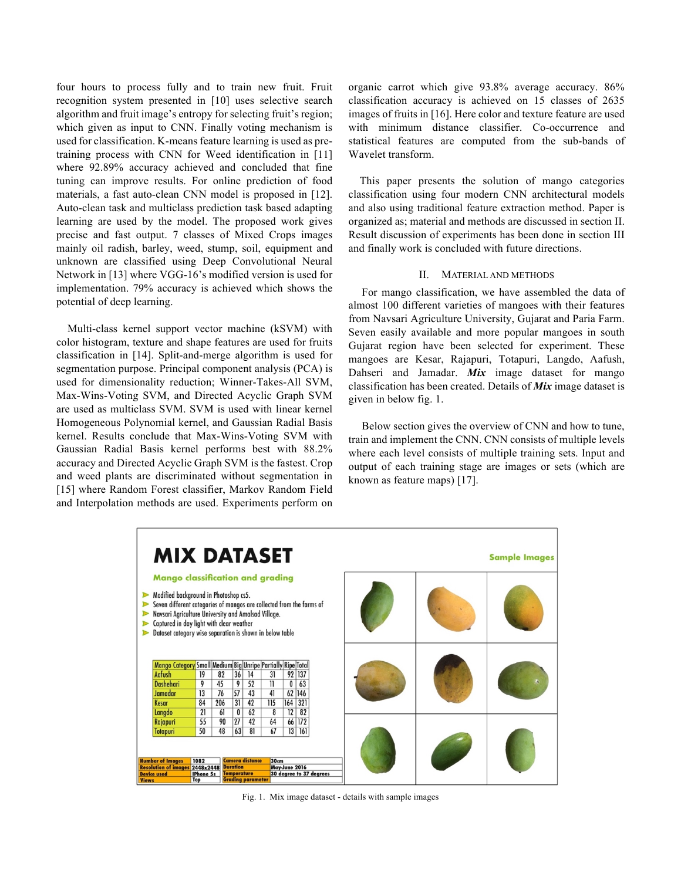four hours to process fully and to train new fruit. Fruit recognition system presented in [10] uses selective search algorithm and fruit image's entropy for selecting fruit's region; which given as input to CNN. Finally voting mechanism is used for classification. K-means feature learning is used as pretraining process with CNN for Weed identification in [11] where 92.89% accuracy achieved and concluded that fine tuning can improve results. For online prediction of food materials, a fast auto-clean CNN model is proposed in [12]. Auto-clean task and multiclass prediction task based adapting learning are used by the model. The proposed work gives precise and fast output. 7 classes of Mixed Crops images mainly oil radish, barley, weed, stump, soil, equipment and unknown are classified using Deep Convolutional Neural Network in [13] where VGG-16's modified version is used for implementation. 79% accuracy is achieved which shows the potential of deep learning.

Multi-class kernel support vector machine (kSVM) with color histogram, texture and shape features are used for fruits classification in [14]. Split-and-merge algorithm is used for segmentation purpose. Principal component analysis (PCA) is used for dimensionality reduction; Winner-Takes-All SVM, Max-Wins-Voting SVM, and Directed Acyclic Graph SVM are used as multiclass SVM. SVM is used with linear kernel Homogeneous Polynomial kernel, and Gaussian Radial Basis kernel. Results conclude that Max-Wins-Voting SVM with Gaussian Radial Basis kernel performs best with 88.2% accuracy and Directed Acyclic Graph SVM is the fastest. Crop and weed plants are discriminated without segmentation in [15] where Random Forest classifier, Markov Random Field and Interpolation methods are used. Experiments perform on organic carrot which give 93.8% average accuracy. 86% classification accuracy is achieved on 15 classes of 2635 images of fruits in [16]. Here color and texture feature are used with minimum distance classifier. Co-occurrence and statistical features are computed from the sub-bands of Wavelet transform.

This paper presents the solution of mango categories classification using four modern CNN architectural models and also using traditional feature extraction method. Paper is organized as; material and methods are discussed in section II. Result discussion of experiments has been done in section III and finally work is concluded with future directions.

#### II. MATERIAL AND METHODS

For mango classification, we have assembled the data of almost 100 different varieties of mangoes with their features from Navsari Agriculture University, Gujarat and Paria Farm. Seven easily available and more popular mangoes in south Gujarat region have been selected for experiment. These mangoes are Kesar, Rajapuri, Totapuri, Langdo, Aafush, Dahseri and Jamadar. *Mix* image dataset for mango classification has been created. Details of *Mix* image dataset is given in below fig. 1.

Below section gives the overview of CNN and how to tune, train and implement the CNN. CNN consists of multiple levels where each level consists of multiple training sets. Input and output of each training stage are images or sets (which are known as feature maps) [17].



Fig. 1. Mix image dataset - details with sample images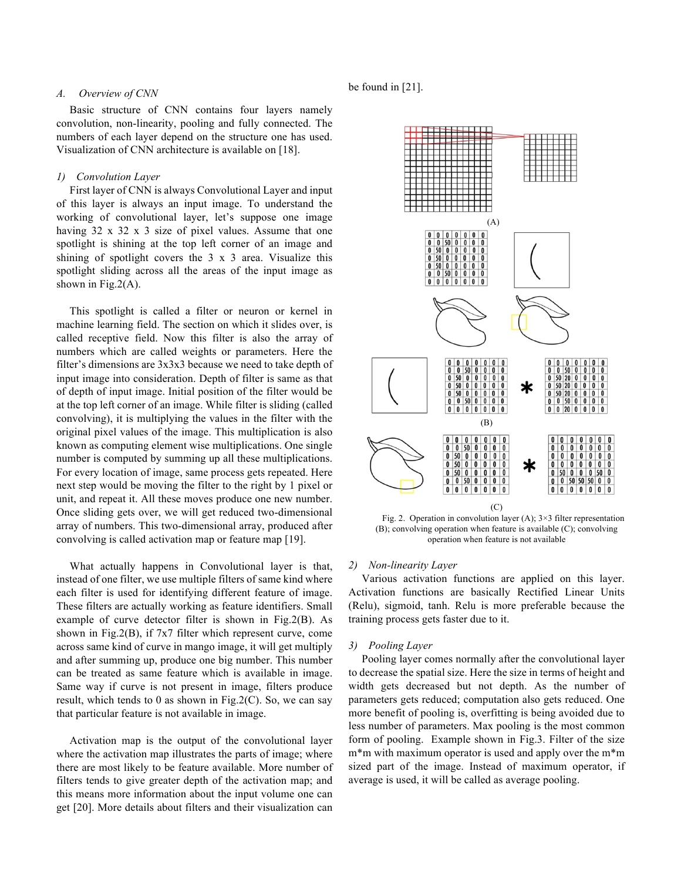### *A. Overview of CNN*

Basic structure of CNN contains four layers namely convolution, non-linearity, pooling and fully connected. The numbers of each layer depend on the structure one has used. Visualization of CNN architecture is available on [18].

# *1) Convolution Layer*

First layer of CNN is always Convolutional Layer and input of this layer is always an input image. To understand the working of convolutional layer, let's suppose one image having 32 x 32 x 3 size of pixel values. Assume that one spotlight is shining at the top left corner of an image and shining of spotlight covers the 3 x 3 area. Visualize this spotlight sliding across all the areas of the input image as shown in Fig.  $2(A)$ .

This spotlight is called a filter or neuron or kernel in machine learning field. The section on which it slides over, is called receptive field. Now this filter is also the array of numbers which are called weights or parameters. Here the filter's dimensions are 3x3x3 because we need to take depth of input image into consideration. Depth of filter is same as that of depth of input image. Initial position of the filter would be at the top left corner of an image. While filter is sliding (called convolving), it is multiplying the values in the filter with the original pixel values of the image. This multiplication is also known as computing element wise multiplications. One single number is computed by summing up all these multiplications. For every location of image, same process gets repeated. Here next step would be moving the filter to the right by 1 pixel or unit, and repeat it. All these moves produce one new number. Once sliding gets over, we will get reduced two-dimensional array of numbers. This two-dimensional array, produced after convolving is called activation map or feature map [19].

What actually happens in Convolutional layer is that, instead of one filter, we use multiple filters of same kind where each filter is used for identifying different feature of image. These filters are actually working as feature identifiers. Small example of curve detector filter is shown in Fig.2(B). As shown in Fig.2(B), if 7x7 filter which represent curve, come across same kind of curve in mango image, it will get multiply and after summing up, produce one big number. This number can be treated as same feature which is available in image. Same way if curve is not present in image, filters produce result, which tends to 0 as shown in Fig.  $2(C)$ . So, we can say that particular feature is not available in image.

Activation map is the output of the convolutional layer where the activation map illustrates the parts of image; where there are most likely to be feature available. More number of filters tends to give greater depth of the activation map; and this means more information about the input volume one can get [20]. More details about filters and their visualization can

be found in [21].



Fig. 2. Operation in convolution layer (A);  $3 \times 3$  filter representation (B); convolving operation when feature is available (C); convolving operation when feature is not available

#### *2) Non-linearity Layer*

Various activation functions are applied on this layer. Activation functions are basically Rectified Linear Units (Relu), sigmoid, tanh. Relu is more preferable because the training process gets faster due to it.

#### *3) Pooling Layer*

Pooling layer comes normally after the convolutional layer to decrease the spatial size. Here the size in terms of height and width gets decreased but not depth. As the number of parameters gets reduced; computation also gets reduced. One more benefit of pooling is, overfitting is being avoided due to less number of parameters. Max pooling is the most common form of pooling. Example shown in Fig.3. Filter of the size m\*m with maximum operator is used and apply over the m\*m sized part of the image. Instead of maximum operator, if average is used, it will be called as average pooling.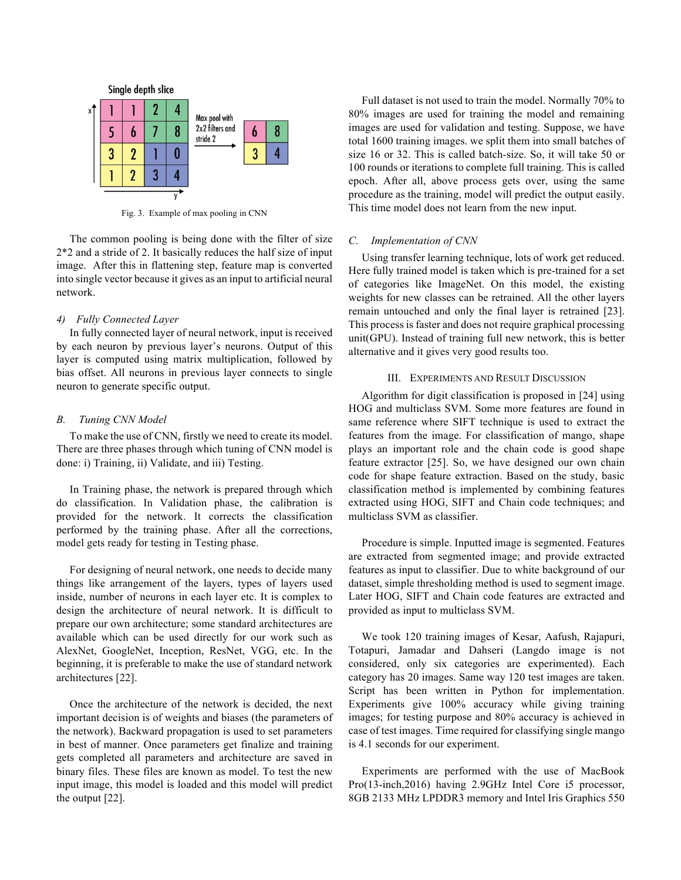

Fig. 3. Example of max pooling in CNN

The common pooling is being done with the filter of size 2\*2 and a stride of 2. It basically reduces the half size of input image. After this in flattening step, feature map is converted into single vector because it gives as an input to artificial neural network.

#### *4) Fully Connected Layer*

In fully connected layer of neural network, input is received by each neuron by previous layer's neurons. Output of this layer is computed using matrix multiplication, followed by bias offset. All neurons in previous layer connects to single neuron to generate specific output.

# *B. Tuning CNN Model*

To make the use of CNN, firstly we need to create its model. There are three phases through which tuning of CNN model is done: i) Training, ii) Validate, and iii) Testing.

In Training phase, the network is prepared through which do classification. In Validation phase, the calibration is provided for the network. It corrects the classification performed by the training phase. After all the corrections, model gets ready for testing in Testing phase.

For designing of neural network, one needs to decide many things like arrangement of the layers, types of layers used inside, number of neurons in each layer etc. It is complex to design the architecture of neural network. It is difficult to prepare our own architecture; some standard architectures are available which can be used directly for our work such as AlexNet, GoogleNet, Inception, ResNet, VGG, etc. In the beginning, it is preferable to make the use of standard network architectures [22].

Once the architecture of the network is decided, the next important decision is of weights and biases (the parameters of the network). Backward propagation is used to set parameters in best of manner. Once parameters get finalize and training gets completed all parameters and architecture are saved in binary files. These files are known as model. To test the new input image, this model is loaded and this model will predict the output [22].

Full dataset is not used to train the model. Normally 70% to 80% images are used for training the model and remaining images are used for validation and testing. Suppose, we have total 1600 training images. we split them into small batches of size 16 or 32. This is called batch-size. So, it will take 50 or 100 rounds or iterations to complete full training. This is called epoch. After all, above process gets over, using the same procedure as the training, model will predict the output easily. This time model does not learn from the new input.

## *C. Implementation of CNN*

Using transfer learning technique, lots of work get reduced. Here fully trained model is taken which is pre-trained for a set of categories like ImageNet. On this model, the existing weights for new classes can be retrained. All the other layers remain untouched and only the final layer is retrained [23]. This process is faster and does not require graphical processing unit(GPU). Instead of training full new network, this is better alternative and it gives very good results too.

# III. EXPERIMENTS AND RESULT DISCUSSION

Algorithm for digit classification is proposed in [24] using HOG and multiclass SVM. Some more features are found in same reference where SIFT technique is used to extract the features from the image. For classification of mango, shape plays an important role and the chain code is good shape feature extractor [25]. So, we have designed our own chain code for shape feature extraction. Based on the study, basic classification method is implemented by combining features extracted using HOG, SIFT and Chain code techniques; and multiclass SVM as classifier.

Procedure is simple. Inputted image is segmented. Features are extracted from segmented image; and provide extracted features as input to classifier. Due to white background of our dataset, simple thresholding method is used to segment image. Later HOG, SIFT and Chain code features are extracted and provided as input to multiclass SVM.

We took 120 training images of Kesar, Aafush, Rajapuri, Totapuri, Jamadar and Dahseri (Langdo image is not considered, only six categories are experimented). Each category has 20 images. Same way 120 test images are taken. Script has been written in Python for implementation. Experiments give 100% accuracy while giving training images; for testing purpose and 80% accuracy is achieved in case of test images. Time required for classifying single mango is 4.1 seconds for our experiment.

Experiments are performed with the use of MacBook Pro(13-inch,2016) having 2.9GHz Intel Core i5 processor, 8GB 2133 MHz LPDDR3 memory and Intel Iris Graphics 550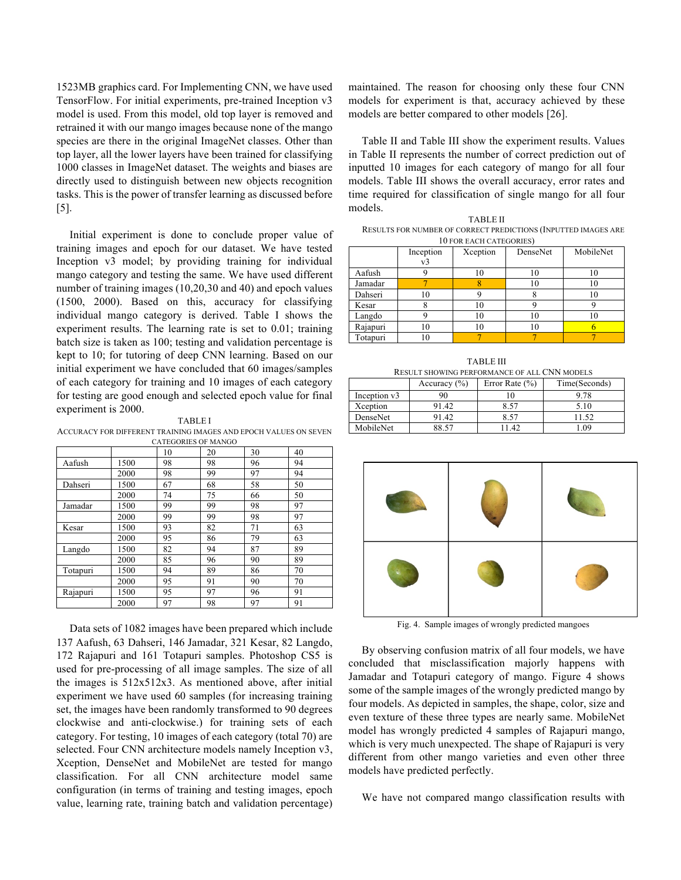1523MB graphics card. For Implementing CNN, we have used TensorFlow. For initial experiments, pre-trained Inception v3 model is used. From this model, old top layer is removed and retrained it with our mango images because none of the mango species are there in the original ImageNet classes. Other than top layer, all the lower layers have been trained for classifying 1000 classes in ImageNet dataset. The weights and biases are directly used to distinguish between new objects recognition tasks. This is the power of transfer learning as discussed before [5].

Initial experiment is done to conclude proper value of training images and epoch for our dataset. We have tested Inception v3 model; by providing training for individual mango category and testing the same. We have used different number of training images (10,20,30 and 40) and epoch values (1500, 2000). Based on this, accuracy for classifying individual mango category is derived. Table I shows the experiment results. The learning rate is set to 0.01; training batch size is taken as 100; testing and validation percentage is kept to 10; for tutoring of deep CNN learning. Based on our initial experiment we have concluded that 60 images/samples of each category for training and 10 images of each category for testing are good enough and selected epoch value for final experiment is 2000.

TABLE I ACCURACY FOR DIFFERENT TRAINING IMAGES AND EPOCH VALUES ON SEVEN CATEGORIES OF MANGO

|          |      |    | CATEGORILO OI INAINO |    |    |
|----------|------|----|----------------------|----|----|
|          |      | 10 | 20                   | 30 | 40 |
| Aafush   | 1500 | 98 | 98                   | 96 | 94 |
|          | 2000 | 98 | 99                   | 97 | 94 |
| Dahseri  | 1500 | 67 | 68                   | 58 | 50 |
|          | 2000 | 74 | 75                   | 66 | 50 |
| Jamadar  | 1500 | 99 | 99                   | 98 | 97 |
|          | 2000 | 99 | 99                   | 98 | 97 |
| Kesar    | 1500 | 93 | 82                   | 71 | 63 |
|          | 2000 | 95 | 86                   | 79 | 63 |
| Langdo   | 1500 | 82 | 94                   | 87 | 89 |
|          | 2000 | 85 | 96                   | 90 | 89 |
| Totapuri | 1500 | 94 | 89                   | 86 | 70 |
|          | 2000 | 95 | 91                   | 90 | 70 |
| Rajapuri | 1500 | 95 | 97                   | 96 | 91 |
|          | 2000 | 97 | 98                   | 97 | 91 |

Data sets of 1082 images have been prepared which include 137 Aafush, 63 Dahseri, 146 Jamadar, 321 Kesar, 82 Langdo, 172 Rajapuri and 161 Totapuri samples. Photoshop CS5 is used for pre-processing of all image samples. The size of all the images is 512x512x3. As mentioned above, after initial experiment we have used 60 samples (for increasing training set, the images have been randomly transformed to 90 degrees clockwise and anti-clockwise.) for training sets of each category. For testing, 10 images of each category (total 70) are selected. Four CNN architecture models namely Inception v3, Xception, DenseNet and MobileNet are tested for mango classification. For all CNN architecture model same configuration (in terms of training and testing images, epoch value, learning rate, training batch and validation percentage) maintained. The reason for choosing only these four CNN models for experiment is that, accuracy achieved by these models are better compared to other models [26].

Table II and Table III show the experiment results. Values in Table II represents the number of correct prediction out of inputted 10 images for each category of mango for all four models. Table III shows the overall accuracy, error rates and time required for classification of single mango for all four models.

TABLE II RESULTS FOR NUMBER OF CORRECT PREDICTIONS (INPUTTED IMAGES ARE 10 FOR EACH CATEGORIES)

|          | Inception<br>$v_3$ | Xception | DenseNet | MobileNet |
|----------|--------------------|----------|----------|-----------|
| Aafush   |                    | 10       | 10       | 10        |
| Jamadar  |                    |          | 10       | 10        |
| Dahseri  |                    |          |          | 10        |
| Kesar    |                    |          |          |           |
| Langdo   |                    |          | 10       | 10        |
| Rajapuri |                    | 10       | 10       |           |
| Totapuri |                    |          |          |           |

TABLE III RESULT SHOWING PERFORMANCE OF ALL CNN MODELS  $\Delta$ ccuracy (%) Error Rate (%) Time(Seconds)

**I** 

|              | $1100$ uruv $1701$ | $1.11$ $0.11$ $0.01$ $0.70$ | 11110000011001 |
|--------------|--------------------|-----------------------------|----------------|
| Inception v3 | 90                 | ιU                          | 9.78           |
| Xception     | 91.42              | 8.57                        | 5.10           |
| DenseNet     | 91.42              | 8.57                        |                |
| MobileNet    | 88.57              | $.4^{\circ}$                | .09            |



Fig. 4. Sample images of wrongly predicted mangoes

By observing confusion matrix of all four models, we have concluded that misclassification majorly happens with Jamadar and Totapuri category of mango. Figure 4 shows some of the sample images of the wrongly predicted mango by four models. As depicted in samples, the shape, color, size and even texture of these three types are nearly same. MobileNet model has wrongly predicted 4 samples of Rajapuri mango, which is very much unexpected. The shape of Rajapuri is very different from other mango varieties and even other three models have predicted perfectly.

We have not compared mango classification results with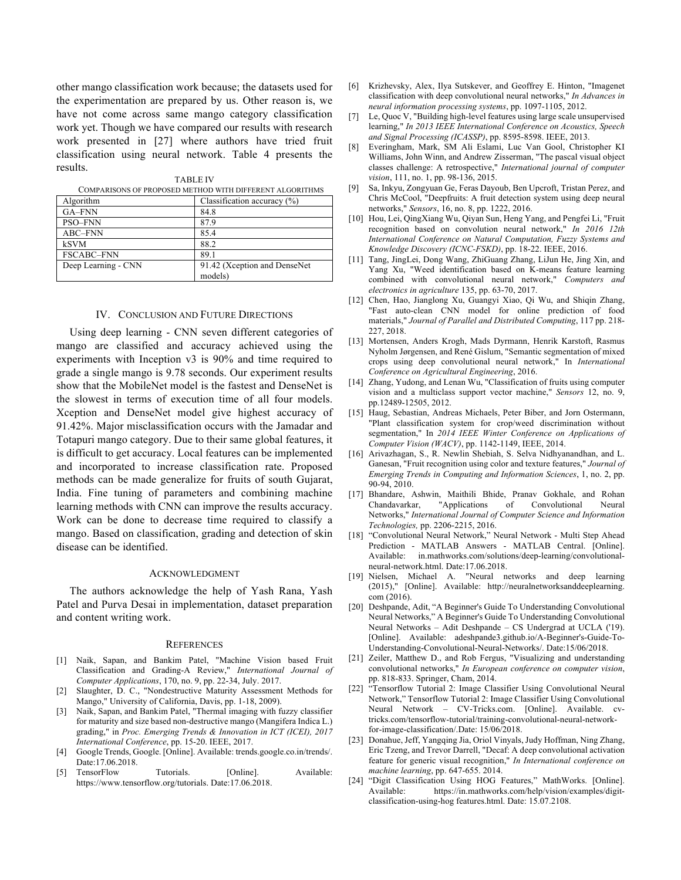other mango classification work because; the datasets used for the experimentation are prepared by us. Other reason is, we have not come across same mango category classification work yet. Though we have compared our results with research work presented in [27] where authors have tried fruit classification using neural network. Table 4 presents the results. TABLE IV

| COMPARISONS OF PROPOSED METHOD WITH DIFFERENT ALGORITHMS |                                |  |
|----------------------------------------------------------|--------------------------------|--|
| Algorithm                                                | Classification accuracy $(\%)$ |  |
| GA-FNN                                                   | 84.8                           |  |
| PSO-FNN                                                  | 87.9                           |  |
| ABC-FNN                                                  | 85.4                           |  |
| <b>kSVM</b>                                              | 88.2                           |  |
| <b>FSCABC-FNN</b>                                        | 89.1                           |  |
| Deep Learning - CNN                                      | 91.42 (Xception and DenseNet)  |  |
|                                                          | models)                        |  |

| TADLE IV |  |  |                                                        |  |  |
|----------|--|--|--------------------------------------------------------|--|--|
|          |  |  | A DICOME OF BROBOCED METHOD WITH DIEFERENT AT CORITIN. |  |  |

#### IV. CONCLUSION AND FUTURE DIRECTIONS

Using deep learning - CNN seven different categories of mango are classified and accuracy achieved using the experiments with Inception v3 is 90% and time required to grade a single mango is 9.78 seconds. Our experiment results show that the MobileNet model is the fastest and DenseNet is the slowest in terms of execution time of all four models. Xception and DenseNet model give highest accuracy of 91.42%. Major misclassification occurs with the Jamadar and Totapuri mango category. Due to their same global features, it is difficult to get accuracy. Local features can be implemented and incorporated to increase classification rate. Proposed methods can be made generalize for fruits of south Gujarat, India. Fine tuning of parameters and combining machine learning methods with CNN can improve the results accuracy. Work can be done to decrease time required to classify a mango. Based on classification, grading and detection of skin disease can be identified.

#### ACKNOWLEDGMENT

The authors acknowledge the help of Yash Rana, Yash Patel and Purva Desai in implementation, dataset preparation and content writing work.

#### **REFERENCES**

- [1] Naik, Sapan, and Bankim Patel, "Machine Vision based Fruit Classification and Grading-A Review," *International Journal of Computer Applications*, 170, no. 9, pp. 22-34, July. 2017.
- [2] Slaughter, D. C., "Nondestructive Maturity Assessment Methods for Mango," University of California, Davis, pp. 1-18, 2009).
- [3] Naik, Sapan, and Bankim Patel, "Thermal imaging with fuzzy classifier for maturity and size based non-destructive mango (Mangifera Indica L.) grading," in *Proc. Emerging Trends & Innovation in ICT (ICEI), 2017 International Conference*, pp. 15-20. IEEE, 2017.
- [4] Google Trends, Google. [Online]. Available: trends.google.co.in/trends/. Date:17.06.2018.
- [5] TensorFlow Tutorials. [Online]. Available: https://www.tensorflow.org/tutorials. Date:17.06.2018.
- [6] Krizhevsky, Alex, Ilya Sutskever, and Geoffrey E. Hinton, "Imagenet classification with deep convolutional neural networks," *In Advances in neural information processing systems*, pp. 1097-1105, 2012.
- [7] Le, Quoc V, "Building high-level features using large scale unsupervised learning," *In 2013 IEEE International Conference on Acoustics, Speech and Signal Processing (ICASSP)*, pp. 8595-8598. IEEE, 2013.
- [8] Everingham, Mark, SM Ali Eslami, Luc Van Gool, Christopher KI Williams, John Winn, and Andrew Zisserman, "The pascal visual object classes challenge: A retrospective," *International journal of computer vision*, 111, no. 1, pp. 98-136, 2015.
- [9] Sa, Inkyu, Zongyuan Ge, Feras Dayoub, Ben Upcroft, Tristan Perez, and Chris McCool, "Deepfruits: A fruit detection system using deep neural networks," *Sensors*, 16, no. 8, pp. 1222, 2016.
- [10] Hou, Lei, QingXiang Wu, Qiyan Sun, Heng Yang, and Pengfei Li, "Fruit recognition based on convolution neural network," *In 2016 12th International Conference on Natural Computation, Fuzzy Systems and Knowledge Discovery (ICNC-FSKD)*, pp. 18-22. IEEE, 2016.
- [11] Tang, JingLei, Dong Wang, ZhiGuang Zhang, LiJun He, Jing Xin, and Yang Xu, "Weed identification based on K-means feature learning combined with convolutional neural network," *Computers and electronics in agriculture* 135, pp. 63-70, 2017.
- [12] Chen, Hao, Jianglong Xu, Guangyi Xiao, Qi Wu, and Shiqin Zhang, "Fast auto-clean CNN model for online prediction of food materials," *Journal of Parallel and Distributed Computing*, 117 pp. 218- 227, 2018.
- [13] Mortensen, Anders Krogh, Mads Dyrmann, Henrik Karstoft, Rasmus Nyholm Jørgensen, and René Gislum, "Semantic segmentation of mixed crops using deep convolutional neural network," In *International Conference on Agricultural Engineering*, 2016.
- [14] Zhang, Yudong, and Lenan Wu, "Classification of fruits using computer vision and a multiclass support vector machine," *Sensors* 12, no. 9, pp.12489-12505, 2012.
- [15] Haug, Sebastian, Andreas Michaels, Peter Biber, and Jorn Ostermann, "Plant classification system for crop/weed discrimination without segmentation," In *2014 IEEE Winter Conference on Applications of Computer Vision (WACV)*, pp. 1142-1149, IEEE, 2014.
- [16] Arivazhagan, S., R. Newlin Shebiah, S. Selva Nidhyanandhan, and L. Ganesan, "Fruit recognition using color and texture features," *Journal of Emerging Trends in Computing and Information Sciences*, 1, no. 2, pp. 90-94, 2010.
- [17] Bhandare, Ashwin, Maithili Bhide, Pranav Gokhale, and Rohan Chandavarkar, "Applications of Convolutional Neural Networks," *International Journal of Computer Science and Information Technologies,* pp. 2206-2215, 2016.
- [18] "Convolutional Neural Network," Neural Network Multi Step Ahead Prediction - MATLAB Answers - MATLAB Central. [Online]. Available: in.mathworks.com/solutions/deep-learning/convolutionalneural-network.html. Date:17.06.2018.
- [19] Nielsen, Michael A. "Neural networks and deep learning (2015)," [Online]. Available: http://neuralnetworksanddeeplearning. [Online]. Available: http://neuralnetworksanddeeplearning. com (2016).
- [20] Deshpande, Adit, "A Beginner's Guide To Understanding Convolutional Neural Networks," A Beginner's Guide To Understanding Convolutional Neural Networks – Adit Deshpande – CS Undergrad at UCLA ('19). [Online]. Available: adeshpande3.github.io/A-Beginner's-Guide-To-Understanding-Convolutional-Neural-Networks/. Date:15/06/2018.
- [21] Zeiler, Matthew D., and Rob Fergus, "Visualizing and understanding convolutional networks," *In European conference on computer vision*, pp. 818-833. Springer, Cham, 2014.
- [22] "Tensorflow Tutorial 2: Image Classifier Using Convolutional Neural Network," Tensorflow Tutorial 2: Image Classifier Using Convolutional Neural Network – CV-Tricks.com. [Online]. Available. cvtricks.com/tensorflow-tutorial/training-convolutional-neural-networkfor-image-classification/.Date: 15/06/2018.
- [23] Donahue, Jeff, Yangqing Jia, Oriol Vinyals, Judy Hoffman, Ning Zhang, Eric Tzeng, and Trevor Darrell, "Decaf: A deep convolutional activation feature for generic visual recognition," *In International conference on machine learning*, pp. 647-655. 2014.
- [24] "Digit Classification Using HOG Features," MathWorks. [Online]. Available: https://in.mathworks.com/help/vision/examples/digitclassification-using-hog features.html. Date: 15.07.2108.